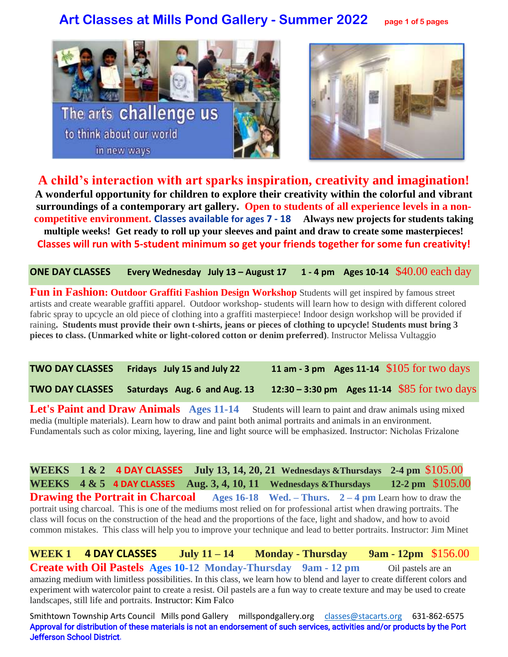# **Art Classes at Mills Pond Gallery - Summer 2022 page 1 of 5 pages**





**A child's interaction with art sparks inspiration, creativity and imagination! A wonderful opportunity for children to explore their creativity within the colorful and vibrant surroundings of a contemporary art gallery. Open to students of all experience levels in a noncompetitive environment. Classes available for ages 7 - 18 Always new projects for students taking multiple weeks! Get ready to roll up your sleeves and paint and draw to create some masterpieces! Classes will run with 5-student minimum so get your friends together for some fun creativity!**

**ONE DAY CLASSES Every Wednesday July 13 – August 17 1 - 4 pm Ages 10-14** \$40.00 each day

**Fun in Fashion: Outdoor Graffiti Fashion Design Workshop** Students will get inspired by famous street artists and create wearable graffiti apparel. Outdoor workshop- students will learn how to design with different colored fabric spray to upcycle an old piece of clothing into a graffiti masterpiece! Indoor design workshop will be provided if raining**. Students must provide their own t-shirts, jeans or pieces of clothing to upcycle! Students must bring 3 pieces to class. (Unmarked white or light-colored cotton or denim preferred)**. Instructor Melissa Vultaggio

**TWO DAY CLASSES Fridays July 15 and July 22 11 am - 3 pm Ages 11-14** \$105 for two days **TWO DAY CLASSES Saturdays Aug. 6 and Aug. 13 12:30 – 3:30 pm Ages 11-14** \$85 for two days

Let's Paint and Draw Animals Ages 11-14 Students will learn to paint and draw animals using mixed media (multiple materials). Learn how to draw and paint both animal portraits and animals in an environment. Fundamentals such as color mixing, layering, line and light source will be emphasized. Instructor: Nicholas Frizalone

**WEEKS 1 & 2 4 DAY CLASSES July 13, 14, 20, 21 Wednesdays &Thursdays 2-4 pm** \$105.00 **WEEKS 4 & 5 4 DAY CLASSES Aug. 3, 4, 10, 11 Wednesdays &Thursdays 12-2 pm** \$105.00 **Drawing the Portrait in Charcoal Ages 16-18 Wed. – Thurs.** 2 – 4 pm Learn how to draw the portrait using charcoal. This is one of the mediums most relied on for professional artist when drawing portraits. The class will focus on the construction of the head and the proportions of the face, light and shadow, and how to avoid common mistakes. This class will help you to improve your technique and lead to better portraits. Instructor: Jim Minet

**WEEK 1 4 DAY CLASSES July 11 – 14 Monday - Thursday 9am - 12pm** \$156.00 **Create with Oil Pastels Ages 10-12 Monday-Thursday 9am - 12 pm** Oil pastels are an amazing medium with limitless possibilities. In this class, we learn how to blend and layer to create different colors and experiment with watercolor paint to create a resist. Oil pastels are a fun way to create texture and may be used to create landscapes, still life and portraits. Instructor: Kim Falco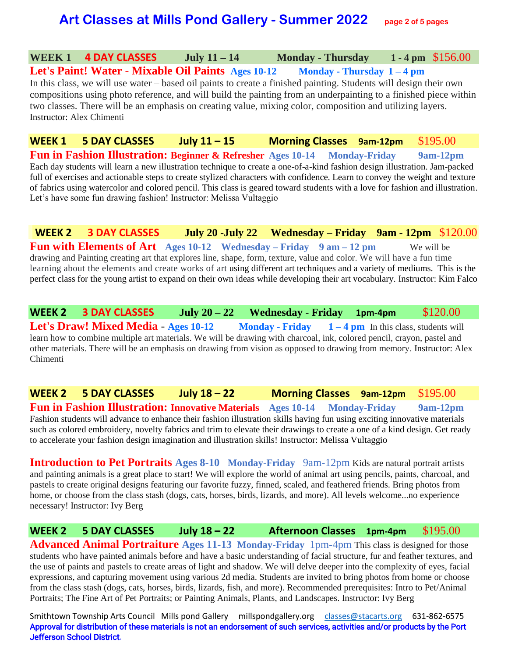## **Art Classes at Mills Pond Gallery - Summer 2022 page 2 of 5 pages**

### **WEEK 1 4 DAY CLASSES July 11 – 14 Monday - Thursday 1 - 4 pm** \$156.00

**Let's Paint! Water - Mixable Oil Paints Ages 10-12 Monday - Thursday 1 – 4 pm**  In this class, we will use water – based oil paints to create a finished painting. Students will design their own compositions using photo reference, and will build the painting from an underpainting to a finished piece within two classes. There will be an emphasis on creating value, mixing color, composition and utilizing layers. Instructor: Alex Chimenti

**WEEK 1 5 DAY CLASSES July 11 – 15 Morning Classes 9am-12pm** \$195.00 **Fun in Fashion Illustration: Beginner & Refresher Ages 10-14 Monday-Friday 9am-12pm** Each day students will learn a new illustration technique to create a one-of-a-kind fashion design illustration. Jam-packed full of exercises and actionable steps to create stylized characters with confidence. Learn to convey the weight and texture of fabrics using watercolor and colored pencil. This class is geared toward students with a love for fashion and illustration. Let's have some fun drawing fashion! Instructor: Melissa Vultaggio

**WEEK 2 3 DAY CLASSES July 20 -July 22 Wednesday – Friday 9am - 12pm** \$120.00 **Fun with Elements of Art Ages 10-12 Wednesday – Friday 9 am – 12 pm** We will be drawing and Painting creating art that explores line, [shape,](https://www.thoughtco.com/definition-of-shape-in-art-182463) form, texture, value and color. We will have a fun time learning about the elements and create works of art using different art techniques and a variety of mediums. This is the perfect class for the young artist to expand on their own ideas while developing their art vocabulary. Instructor: Kim Falco

**WEEK 2 3 DAY CLASSES July 20 – 22 Wednesday - Friday 1pm-4pm** \$120.00 **Let's Draw! Mixed Media** - **Ages 10-12 Monday - Friday 1 – 4 pm** In this class, students will learn how to combine multiple art materials. We will be drawing with charcoal, ink, colored pencil, crayon, pastel and other materials. There will be an emphasis on drawing from vision as opposed to drawing from memory. Instructor: Alex Chimenti

**WEEK 2 5 DAY CLASSES July 18 – 22 Morning Classes 9am-12pm** \$195.00 **Fun in Fashion Illustration: Innovative Materials Ages 10-14 Monday-Friday 9am-12pm**  Fashion students will advance to enhance their fashion illustration skills having fun using exciting innovative materials such as colored embroidery, novelty fabrics and trim to elevate their drawings to create a one of a kind design. Get ready to accelerate your fashion design imagination and illustration skills! Instructor: Melissa Vultaggio

**Introduction to Pet Portraits Ages 8-10 Monday-Friday** 9am-12pm Kids are natural portrait artists and painting animals is a great place to start! We will explore the world of animal art using pencils, paints, charcoal, and pastels to create original designs featuring our favorite fuzzy, finned, scaled, and feathered friends. Bring photos from home, or choose from the class stash (dogs, cats, horses, birds, lizards, and more). All levels welcome...no experience necessary! Instructor: Ivy Berg

**WEEK 2 5 DAY CLASSES July 18 – 22 Afternoon Classes 1pm-4pm** \$195.00 **Advanced Animal Portraiture Ages 11-13 Monday-Friday** 1pm-4pm This class is designed for those

students who have painted animals before and have a basic understanding of facial structure, fur and feather textures, and the use of paints and pastels to create areas of light and shadow. We will delve deeper into the complexity of eyes, facial expressions, and capturing movement using various 2d media. Students are invited to bring photos from home or choose from the class stash (dogs, cats, horses, birds, lizards, fish, and more). Recommended prerequisites: Intro to Pet/Animal Portraits; The Fine Art of Pet Portraits; or Painting Animals, Plants, and Landscapes. Instructor: Ivy Berg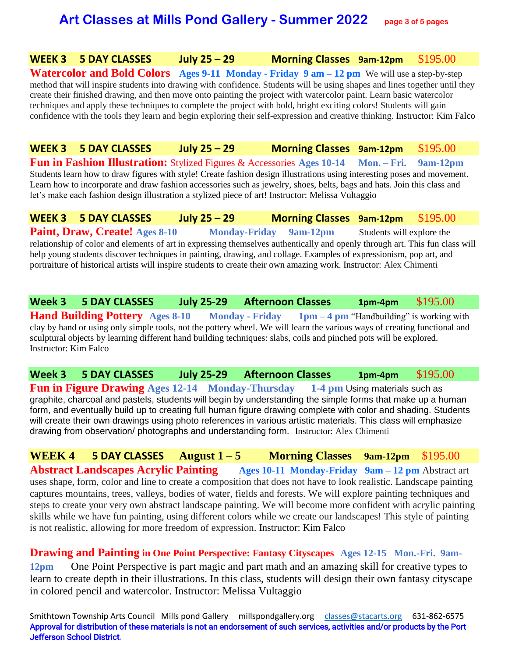# **Art Classes at Mills Pond Gallery - Summer 2022 page 3 of 5 pages**

### **WEEK 3 5 DAY CLASSES July 25 – 29 Morning Classes 9am-12pm** \$195.00

**Watercolor and Bold Colors Ages 9-11 Monday - Friday 9 am – 12 pm** We will use a step-by-step method that will inspire students into drawing with confidence. Students will be using shapes and lines together until they create their finished drawing, and then move onto painting the project with watercolor paint. Learn basic watercolor techniques and apply these techniques to complete the project with bold, bright exciting colors! Students will gain confidence with the tools they learn and begin exploring their self-expression and creative thinking. Instructor: Kim Falco

**WEEK 3 5 DAY CLASSES July 25 – 29 Morning Classes 9am-12pm** \$195.00 **Fun in Fashion Illustration:** Stylized Figures & Accessories **Ages 10-14 Mon. – Fri. 9am-12pm**  Students learn how to draw figures with style! Create fashion design illustrations using interesting poses and movement. Learn how to incorporate and draw fashion accessories such as jewelry, shoes, belts, bags and hats. Join this class and let's make each fashion design illustration a stylized piece of art! Instructor: Melissa Vultaggio

**WEEK 3 5 DAY CLASSES July 25 – 29 Morning Classes 9am-12pm** \$195.00 **Paint, Draw, Create!** Ages 8-10 **Monday-Friday 9am-12pm** Students will explore the relationship of color and elements of art in expressing themselves authentically and openly through art. This fun class will help young students discover techniques in painting, drawing, and collage. Examples of expressionism, pop art, and portraiture of historical artists will inspire students to create their own amazing work. Instructor: Alex Chimenti

**Week 3 5 DAY CLASSES July 25-29 Afternoon Classes 1pm-4pm** \$195.00 **Hand Building Pottery Ages 8-10 Monday - Friday 1pm – 4 pm** "Handbuilding" is working with clay by hand or using only simple tools, not the pottery wheel. We will learn the various ways of creating functional and sculptural objects by learning different hand building techniques: slabs, coils and pinched pots will be explored. Instructor: Kim Falco

**Week 3 5 DAY CLASSES July 25-29 Afternoon Classes 1pm-4pm** \$195.00 **Fun in Figure Drawing Ages 12-14 Monday-Thursday 1-4 pm Using materials such as** graphite, charcoal and pastels, students will begin by understanding the simple forms that make up a human form, and eventually build up to creating full human figure drawing complete with color and shading. Students will create their own drawings using photo references in various artistic materials. This class will emphasize drawing from observation/ photographs and understanding form. Instructor: Alex Chimenti

**WEEK 4 5 DAY CLASSES August**  $1-5$  **<b>Morning Classes**  $9am-12pm$  \$195.00 **Abstract Landscapes Acrylic Painting Ages 10-11 Monday-Friday 9am – 12 pm** Abstract art uses shape, form, color and line to create a composition that does not have to look realistic. Landscape painting captures mountains, trees, valleys, bodies of water, fields and forests. We will explore painting techniques and steps to create your very own abstract landscape painting. We will become more confident with acrylic painting skills while we have fun painting, using different colors while we create our landscapes! This style of painting is not realistic, allowing for more freedom of expression. Instructor: Kim Falco

**Drawing and Painting in One Point Perspective: Fantasy Cityscapes Ages 12-15 Mon.-Fri. 9am-12pm** One Point Perspective is part magic and part math and an amazing skill for creative types to learn to create depth in their illustrations. In this class, students will design their own fantasy cityscape in colored pencil and watercolor. Instructor: Melissa Vultaggio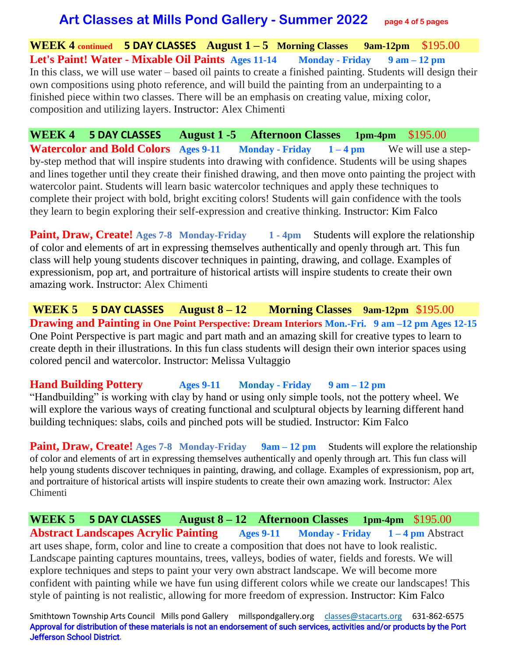## **Art Classes at Mills Pond Gallery - Summer 2022 page 4 of 5 pages**

**WEEK 4 continued 5 DAY CLASSES August 1 – 5 Morning Classes 9am-12pm** \$195.00 **Let's Paint! Water - Mixable Oil Paints Ages 11-14 Monday - Friday 9 am – 12 pm**  In this class, we will use water – based oil paints to create a finished painting. Students will design their own compositions using photo reference, and will build the painting from an underpainting to a finished piece within two classes. There will be an emphasis on creating value, mixing color, composition and utilizing layers. Instructor: Alex Chimenti

**WEEK 4 5 DAY CLASSES August 1 -5 Afternoon Classes 1pm-4pm** \$195.00 **Watercolor and Bold Colors Ages 9-11 Monday - Friday** 1 – 4 pm We will use a stepby-step method that will inspire students into drawing with confidence. Students will be using shapes and lines together until they create their finished drawing, and then move onto painting the project with watercolor paint. Students will learn basic watercolor techniques and apply these techniques to complete their project with bold, bright exciting colors! Students will gain confidence with the tools they learn to begin exploring their self-expression and creative thinking. Instructor: Kim Falco

**Paint, Draw, Create!** Ages 7-8 Monday-Friday 1 - 4pm Students will explore the relationship of color and elements of art in expressing themselves authentically and openly through art. This fun class will help young students discover techniques in painting, drawing, and collage. Examples of expressionism, pop art, and portraiture of historical artists will inspire students to create their own amazing work. Instructor: Alex Chimenti

**WEEK 5 5 DAY CLASSES August 8 – 12 Morning Classes 9am-12pm** \$195.00 **Drawing and Painting in One Point Perspective: Dream Interiors Mon.-Fri. 9 am –12 pm Ages 12-15** One Point Perspective is part magic and part math and an amazing skill for creative types to learn to create depth in their illustrations. In this fun class students will design their own interior spaces using colored pencil and watercolor. Instructor: Melissa Vultaggio

### **Hand Building Pottery Ages 9-11 Monday - Friday 9 am – 12 pm**

"Handbuilding" is working with clay by hand or using only simple tools, not the pottery wheel. We will explore the various ways of creating functional and sculptural objects by learning different hand building techniques: slabs, coils and pinched pots will be studied. Instructor: Kim Falco

**Paint, Draw, Create!** Ages 7-8 Monday-Friday 9am – 12 pm Students will explore the relationship of color and elements of art in expressing themselves authentically and openly through art. This fun class will help young students discover techniques in painting, drawing, and collage. Examples of expressionism, pop art, and portraiture of historical artists will inspire students to create their own amazing work. Instructor: Alex Chimenti

**WEEK 5 5 DAY CLASSES August 8 – 12 Afternoon Classes 1pm-4pm** \$195.00 **Abstract Landscapes Acrylic Painting Ages 9-11 Monday - Friday 1 – 4 pm** Abstract art uses shape, form, color and line to create a composition that does not have to look realistic. Landscape painting captures mountains, trees, valleys, bodies of water, fields and forests. We will explore techniques and steps to paint your very own abstract landscape. We will become more confident with painting while we have fun using different colors while we create our landscapes! This style of painting is not realistic, allowing for more freedom of expression. Instructor: Kim Falco